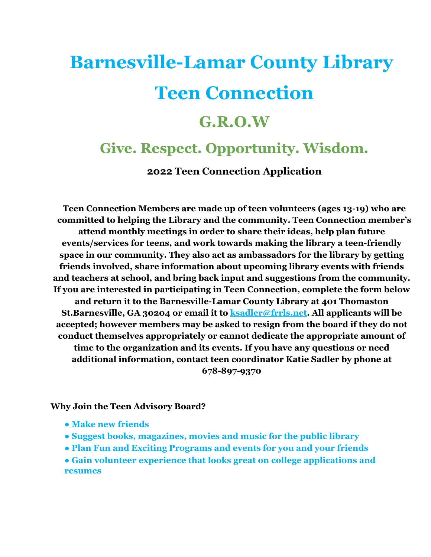# **Barnesville-Lamar County Library Teen Connection**

## **G.R.O.W**

## **Give. Respect. Opportunity. Wisdom.**

**2022 Teen Connection Application**

**Teen Connection Members are made up of teen volunteers (ages 13-19) who are committed to helping the Library and the community. Teen Connection member's attend monthly meetings in order to share their ideas, help plan future events/services for teens, and work towards making the library a teen-friendly space in our community. They also act as ambassadors for the library by getting friends involved, share information about upcoming library events with friends and teachers at school, and bring back input and suggestions from the community. If you are interested in participating in Teen Connection, complete the form below and return it to the Barnesville-Lamar County Library at 401 Thomaston St.Barnesville, GA 30204 or email it to ksadler@frrls.net. All applicants will be accepted; however members may be asked to resign from the board if they do not conduct themselves appropriately or cannot dedicate the appropriate amount of time to the organization and its events. If you have any questions or need additional information, contact teen coordinator Katie Sadler by phone at 678-897-9370**

#### **Why Join the Teen Advisory Board?**

- **Make new friends**
- **Suggest books, magazines, movies and music for the public library**
- **Plan Fun and Exciting Programs and events for you and your friends**
- **Gain volunteer experience that looks great on college applications and resumes**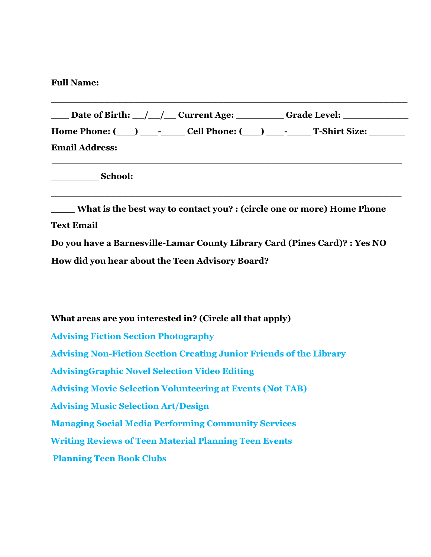#### **Full Name:**

|                       |  | Date of Birth: / / Current Age: Grade Level: |
|-----------------------|--|----------------------------------------------|
|                       |  |                                              |
| <b>Email Address:</b> |  |                                              |
|                       |  |                                              |

**\_\_\_\_\_\_\_\_\_\_\_\_\_\_\_\_\_\_\_\_\_\_\_\_\_\_\_\_\_\_\_\_\_\_\_\_\_\_\_\_\_\_\_\_\_\_\_\_\_\_\_\_\_\_\_\_\_\_\_**

**\_\_\_\_\_\_\_\_\_\_\_\_\_\_\_\_\_\_\_\_\_\_\_\_\_\_\_\_\_\_\_\_\_\_\_\_\_\_\_\_\_\_\_\_\_\_\_\_\_\_\_\_\_\_\_\_\_\_\_\_**

**\_\_\_\_\_\_\_\_ School:**

**\_\_\_\_ What is the best way to contact you? : (circle one or more) Home Phone Text Email**

**Do you have a Barnesville-Lamar County Library Card (Pines Card)? : Yes NO How did you hear about the Teen Advisory Board?**

**What areas are you interested in? (Circle all that apply) Advising Fiction Section Photography Advising Non-Fiction Section Creating Junior Friends of the Library AdvisingGraphic Novel Selection Video Editing Advising Movie Selection Volunteering at Events (Not TAB) Advising Music Selection Art/Design Managing Social Media Performing Community Services Writing Reviews of Teen Material Planning Teen Events Planning Teen Book Clubs**